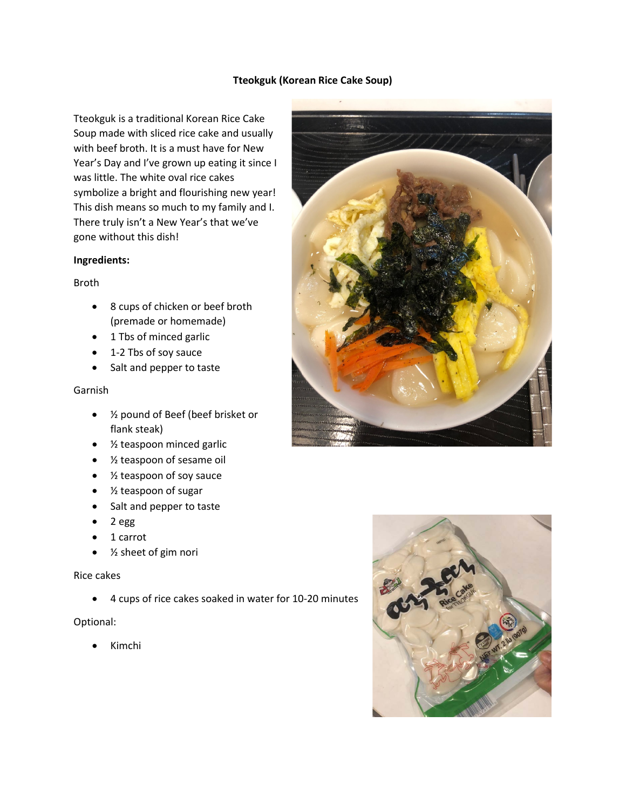## **Tteokguk (Korean Rice Cake Soup)**

Tteokguk is a traditional Korean Rice Cake Soup made with sliced rice cake and usually with beef broth. It is a must have for New Year's Day and I've grown up eating it since I was little. The white oval rice cakes symbolize a bright and flourishing new year! This dish means so much to my family and I. There truly isn't a New Year's that we've gone without this dish!

## **Ingredients:**

# Broth

- 8 cups of chicken or beef broth (premade or homemade)
- 1 Tbs of minced garlic
- 1-2 Tbs of soy sauce
- Salt and pepper to taste

# Garnish

- ½ pound of Beef (beef brisket or flank steak)
- ½ teaspoon minced garlic
- ½ teaspoon of sesame oil
- ½ teaspoon of soy sauce
- ½ teaspoon of sugar
- Salt and pepper to taste
- 2 egg
- 1 carrot
- ½ sheet of gim nori

### Rice cakes

• 4 cups of rice cakes soaked in water for 10-20 minutes

### Optional:

• Kimchi



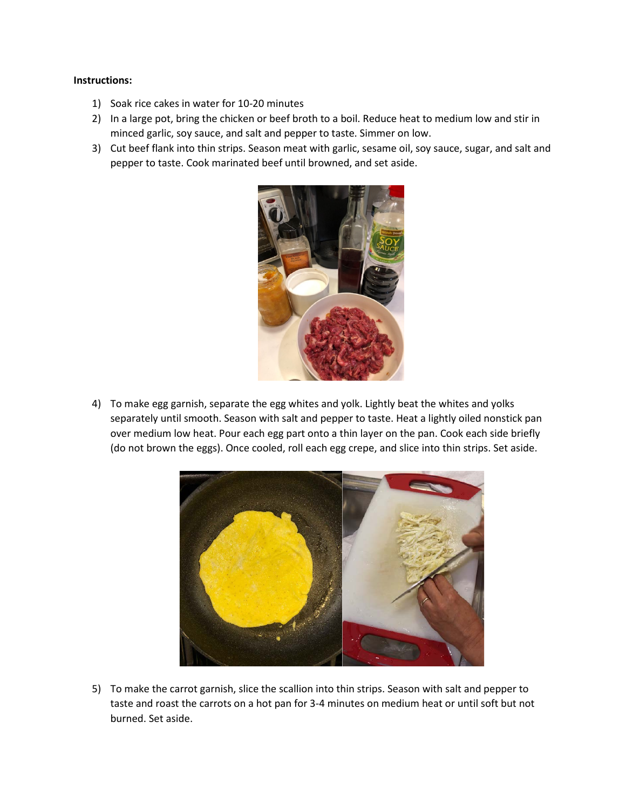# **Instructions:**

- 1) Soak rice cakes in water for 10-20 minutes
- 2) In a large pot, bring the chicken or beef broth to a boil. Reduce heat to medium low and stir in minced garlic, soy sauce, and salt and pepper to taste. Simmer on low.
- 3) Cut beef flank into thin strips. Season meat with garlic, sesame oil, soy sauce, sugar, and salt and pepper to taste. Cook marinated beef until browned, and set aside.



4) To make egg garnish, separate the egg whites and yolk. Lightly beat the whites and yolks separately until smooth. Season with salt and pepper to taste. Heat a lightly oiled nonstick pan over medium low heat. Pour each egg part onto a thin layer on the pan. Cook each side briefly (do not brown the eggs). Once cooled, roll each egg crepe, and slice into thin strips. Set aside.



5) To make the carrot garnish, slice the scallion into thin strips. Season with salt and pepper to taste and roast the carrots on a hot pan for 3-4 minutes on medium heat or until soft but not burned. Set aside.